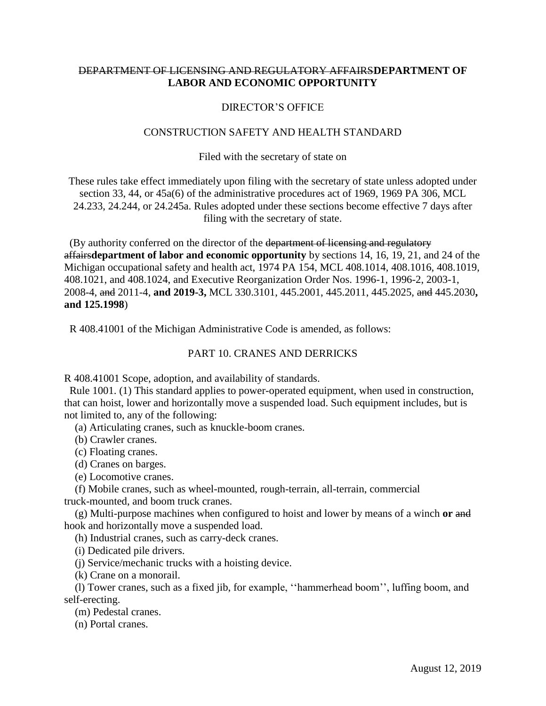# DEPARTMENT OF LICENSING AND REGULATORY AFFAIRS**DEPARTMENT OF LABOR AND ECONOMIC OPPORTUNITY**

## DIRECTOR'S OFFICE

### CONSTRUCTION SAFETY AND HEALTH STANDARD

#### Filed with the secretary of state on

These rules take effect immediately upon filing with the secretary of state unless adopted under section 33, 44, or 45a(6) of the administrative procedures act of 1969, 1969 PA 306, MCL 24.233, 24.244, or 24.245a. Rules adopted under these sections become effective 7 days after filing with the secretary of state.

 (By authority conferred on the director of the department of licensing and regulatory affairs**department of labor and economic opportunity** by sections 14, 16, 19, 21, and 24 of the Michigan occupational safety and health act, 1974 PA 154, MCL 408.1014, 408.1016, 408.1019, 408.1021, and 408.1024, and Executive Reorganization Order Nos. 1996-1, 1996-2, 2003-1, 2008-4, and 2011-4, **and 2019-3,** MCL 330.3101, 445.2001, 445.2011, 445.2025, and 445.2030**, and 125.1998**)

R 408.41001 of the Michigan Administrative Code is amended, as follows:

### PART 10. CRANES AND DERRICKS

R 408.41001 Scope, adoption, and availability of standards.

 Rule 1001. (1) This standard applies to power-operated equipment, when used in construction, that can hoist, lower and horizontally move a suspended load. Such equipment includes, but is not limited to, any of the following:

(a) Articulating cranes, such as knuckle-boom cranes.

(b) Crawler cranes.

(c) Floating cranes.

(d) Cranes on barges.

(e) Locomotive cranes.

 (f) Mobile cranes, such as wheel-mounted, rough-terrain, all-terrain, commercial truck-mounted, and boom truck cranes.

 (g) Multi-purpose machines when configured to hoist and lower by means of a winch **or** and hook and horizontally move a suspended load.

(h) Industrial cranes, such as carry-deck cranes.

(i) Dedicated pile drivers.

(j) Service/mechanic trucks with a hoisting device.

(k) Crane on a monorail.

 (l) Tower cranes, such as a fixed jib, for example, ''hammerhead boom'', luffing boom, and self-erecting.

(m) Pedestal cranes.

(n) Portal cranes.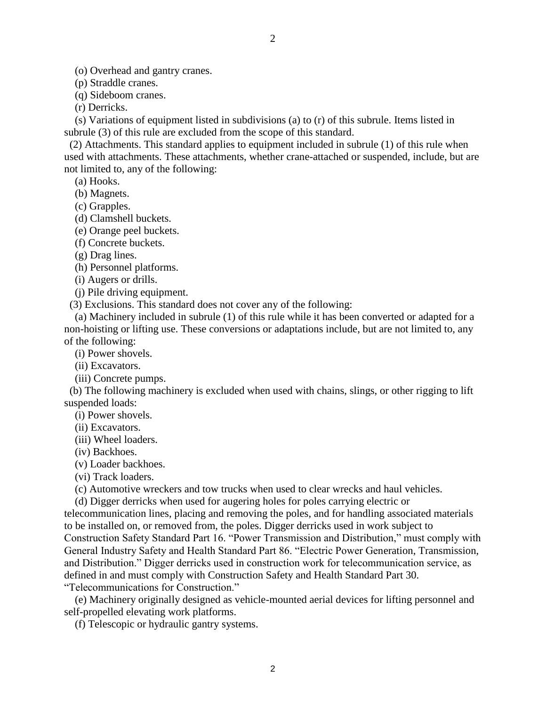(o) Overhead and gantry cranes.

(p) Straddle cranes.

(q) Sideboom cranes.

(r) Derricks.

 (s) Variations of equipment listed in subdivisions (a) to (r) of this subrule. Items listed in subrule (3) of this rule are excluded from the scope of this standard.

 (2) Attachments. This standard applies to equipment included in subrule (1) of this rule when used with attachments. These attachments, whether crane-attached or suspended, include, but are not limited to, any of the following:

(a) Hooks.

(b) Magnets.

(c) Grapples.

(d) Clamshell buckets.

(e) Orange peel buckets.

(f) Concrete buckets.

(g) Drag lines.

(h) Personnel platforms.

(i) Augers or drills.

(j) Pile driving equipment.

(3) Exclusions. This standard does not cover any of the following:

 (a) Machinery included in subrule (1) of this rule while it has been converted or adapted for a non-hoisting or lifting use. These conversions or adaptations include, but are not limited to, any of the following:

(i) Power shovels.

(ii) Excavators.

(iii) Concrete pumps.

 (b) The following machinery is excluded when used with chains, slings, or other rigging to lift suspended loads:

(i) Power shovels.

(ii) Excavators.

(iii) Wheel loaders.

(iv) Backhoes.

(v) Loader backhoes.

(vi) Track loaders.

(c) Automotive wreckers and tow trucks when used to clear wrecks and haul vehicles.

(d) Digger derricks when used for augering holes for poles carrying electric or

telecommunication lines, placing and removing the poles, and for handling associated materials to be installed on, or removed from, the poles. Digger derricks used in work subject to Construction Safety Standard Part 16. "Power Transmission and Distribution," must comply with General Industry Safety and Health Standard Part 86. "Electric Power Generation, Transmission, and Distribution." Digger derricks used in construction work for telecommunication service, as defined in and must comply with Construction Safety and Health Standard Part 30.

"Telecommunications for Construction."

 (e) Machinery originally designed as vehicle-mounted aerial devices for lifting personnel and self-propelled elevating work platforms.

(f) Telescopic or hydraulic gantry systems.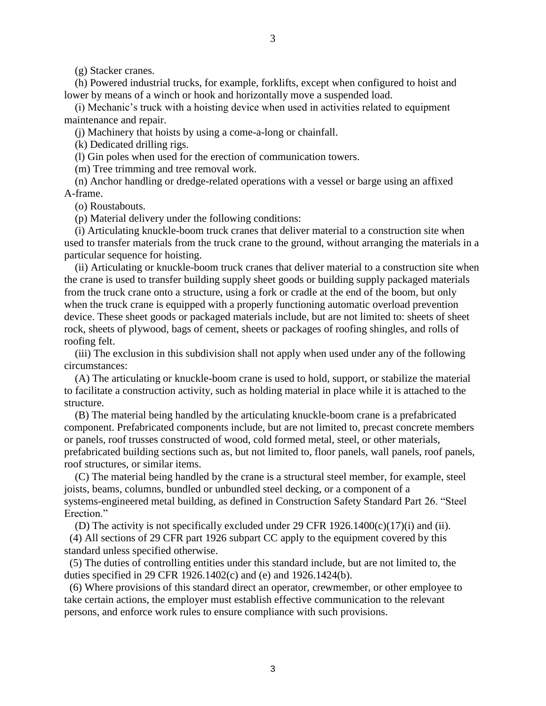3

(g) Stacker cranes.

 (h) Powered industrial trucks, for example, forklifts, except when configured to hoist and lower by means of a winch or hook and horizontally move a suspended load.

 (i) Mechanic's truck with a hoisting device when used in activities related to equipment maintenance and repair.

(j) Machinery that hoists by using a come-a-long or chainfall.

(k) Dedicated drilling rigs.

(l) Gin poles when used for the erection of communication towers.

(m) Tree trimming and tree removal work.

 (n) Anchor handling or dredge-related operations with a vessel or barge using an affixed A-frame.

(o) Roustabouts.

(p) Material delivery under the following conditions:

 (i) Articulating knuckle-boom truck cranes that deliver material to a construction site when used to transfer materials from the truck crane to the ground, without arranging the materials in a particular sequence for hoisting.

 (ii) Articulating or knuckle-boom truck cranes that deliver material to a construction site when the crane is used to transfer building supply sheet goods or building supply packaged materials from the truck crane onto a structure, using a fork or cradle at the end of the boom, but only when the truck crane is equipped with a properly functioning automatic overload prevention device. These sheet goods or packaged materials include, but are not limited to: sheets of sheet rock, sheets of plywood, bags of cement, sheets or packages of roofing shingles, and rolls of roofing felt.

 (iii) The exclusion in this subdivision shall not apply when used under any of the following circumstances:

 (A) The articulating or knuckle-boom crane is used to hold, support, or stabilize the material to facilitate a construction activity, such as holding material in place while it is attached to the structure.

 (B) The material being handled by the articulating knuckle-boom crane is a prefabricated component. Prefabricated components include, but are not limited to, precast concrete members or panels, roof trusses constructed of wood, cold formed metal, steel, or other materials, prefabricated building sections such as, but not limited to, floor panels, wall panels, roof panels, roof structures, or similar items.

 (C) The material being handled by the crane is a structural steel member, for example, steel joists, beams, columns, bundled or unbundled steel decking, or a component of a systems-engineered metal building, as defined in Construction Safety Standard Part 26. "Steel Erection."

(D) The activity is not specifically excluded under 29 CFR  $1926.1400(c)(17)(i)$  and (ii).

 (4) All sections of 29 CFR part 1926 subpart CC apply to the equipment covered by this standard unless specified otherwise.

 (5) The duties of controlling entities under this standard include, but are not limited to, the duties specified in 29 CFR 1926.1402(c) and (e) and 1926.1424(b).

 (6) Where provisions of this standard direct an operator, crewmember, or other employee to take certain actions, the employer must establish effective communication to the relevant persons, and enforce work rules to ensure compliance with such provisions.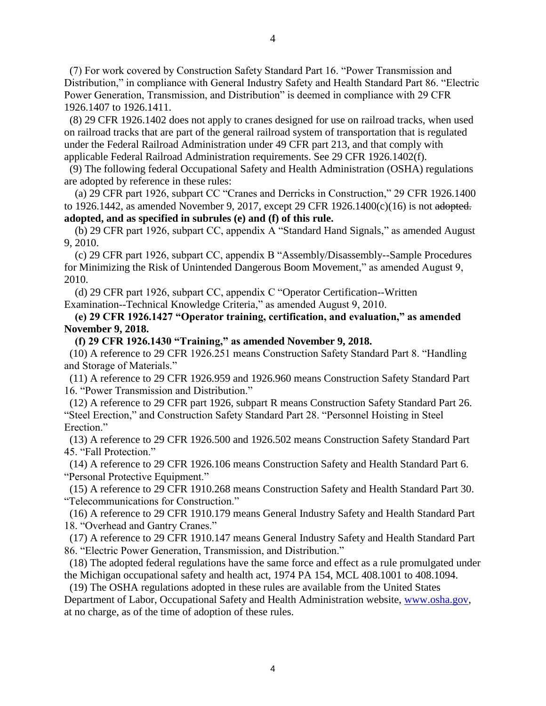(7) For work covered by Construction Safety Standard Part 16. "Power Transmission and Distribution," in compliance with General Industry Safety and Health Standard Part 86. "Electric Power Generation, Transmission, and Distribution" is deemed in compliance with 29 CFR 1926.1407 to 1926.1411.

 (8) 29 CFR 1926.1402 does not apply to cranes designed for use on railroad tracks, when used on railroad tracks that are part of the general railroad system of transportation that is regulated under the Federal Railroad Administration under 49 CFR part 213, and that comply with applicable Federal Railroad Administration requirements. See 29 CFR 1926.1402(f).

 (9) The following federal Occupational Safety and Health Administration (OSHA) regulations are adopted by reference in these rules:

 (a) 29 CFR part 1926, subpart CC "Cranes and Derricks in Construction," 29 CFR 1926.1400 to 1926.1442, as amended November 9, 2017, except 29 CFR 1926.1400 $(c)(16)$  is not adopted. **adopted, and as specified in subrules (e) and (f) of this rule.**

 (b) 29 CFR part 1926, subpart CC, appendix A "Standard Hand Signals," as amended August 9, 2010.

 (c) 29 CFR part 1926, subpart CC, appendix B "Assembly/Disassembly--Sample Procedures for Minimizing the Risk of Unintended Dangerous Boom Movement," as amended August 9, 2010.

 (d) 29 CFR part 1926, subpart CC, appendix C "Operator Certification--Written Examination--Technical Knowledge Criteria," as amended August 9, 2010.

# **(e) 29 CFR 1926.1427 "Operator training, certification, and evaluation," as amended November 9, 2018.**

 **(f) 29 CFR 1926.1430 "Training," as amended November 9, 2018.**

 (10) A reference to 29 CFR 1926.251 means Construction Safety Standard Part 8. "Handling and Storage of Materials."

 (11) A reference to 29 CFR 1926.959 and 1926.960 means Construction Safety Standard Part 16. "Power Transmission and Distribution."

 (12) A reference to 29 CFR part 1926, subpart R means Construction Safety Standard Part 26. "Steel Erection," and Construction Safety Standard Part 28. "Personnel Hoisting in Steel Erection."

 (13) A reference to 29 CFR 1926.500 and 1926.502 means Construction Safety Standard Part 45. "Fall Protection."

 (14) A reference to 29 CFR 1926.106 means Construction Safety and Health Standard Part 6. "Personal Protective Equipment."

 (15) A reference to 29 CFR 1910.268 means Construction Safety and Health Standard Part 30. "Telecommunications for Construction."

 (16) A reference to 29 CFR 1910.179 means General Industry Safety and Health Standard Part 18. "Overhead and Gantry Cranes."

 (17) A reference to 29 CFR 1910.147 means General Industry Safety and Health Standard Part 86. "Electric Power Generation, Transmission, and Distribution."

 (18) The adopted federal regulations have the same force and effect as a rule promulgated under the Michigan occupational safety and health act, 1974 PA 154, MCL 408.1001 to 408.1094.

 (19) The OSHA regulations adopted in these rules are available from the United States Department of Labor, Occupational Safety and Health Administration website, www.osha.gov, at no charge, as of the time of adoption of these rules.